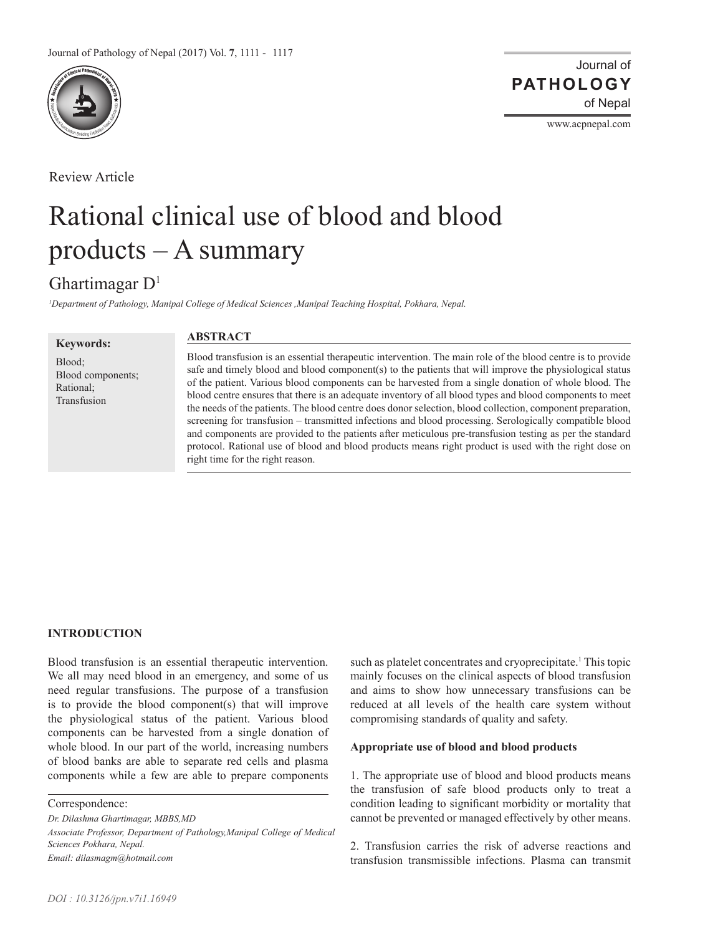

Review Article

# Rational clinical use of blood and blood products – A summary

## Ghartimagar  $D<sup>1</sup>$

*1 Department of Pathology, Manipal College of Medical Sciences ,Manipal Teaching Hospital, Pokhara, Nepal.*

## **Keywords:**

Blood; Blood components; Rational; Transfusion

## **ABSTRACT**

Blood transfusion is an essential therapeutic intervention. The main role of the blood centre is to provide safe and timely blood and blood component(s) to the patients that will improve the physiological status of the patient. Various blood components can be harvested from a single donation of whole blood. The blood centre ensures that there is an adequate inventory of all blood types and blood components to meet the needs of the patients. The blood centre does donor selection, blood collection, component preparation, screening for transfusion – transmitted infections and blood processing. Serologically compatible blood and components are provided to the patients after meticulous pre-transfusion testing as per the standard protocol. Rational use of blood and blood products means right product is used with the right dose on right time for the right reason.

## **INTRODUCTION**

Blood transfusion is an essential therapeutic intervention. We all may need blood in an emergency, and some of us need regular transfusions. The purpose of a transfusion is to provide the blood component(s) that will improve the physiological status of the patient. Various blood components can be harvested from a single donation of whole blood. In our part of the world, increasing numbers of blood banks are able to separate red cells and plasma components while a few are able to prepare components

Correspondence:

*Dr. Dilashma Ghartimagar, MBBS,MD*

*Associate Professor, Department of Pathology,Manipal College of Medical Sciences Pokhara, Nepal. Email: dilasmagm@hotmail.com*

such as platelet concentrates and cryoprecipitate.<sup>1</sup> This topic mainly focuses on the clinical aspects of blood transfusion and aims to show how unnecessary transfusions can be reduced at all levels of the health care system without compromising standards of quality and safety.

Journal of

**PATHOLOGY**

of Nepal

www.acpnepal.com

#### **Appropriate use of blood and blood products**

1. The appropriate use of blood and blood products means the transfusion of safe blood products only to treat a condition leading to significant morbidity or mortality that cannot be prevented or managed effectively by other means.

2. Transfusion carries the risk of adverse reactions and transfusion transmissible infections. Plasma can transmit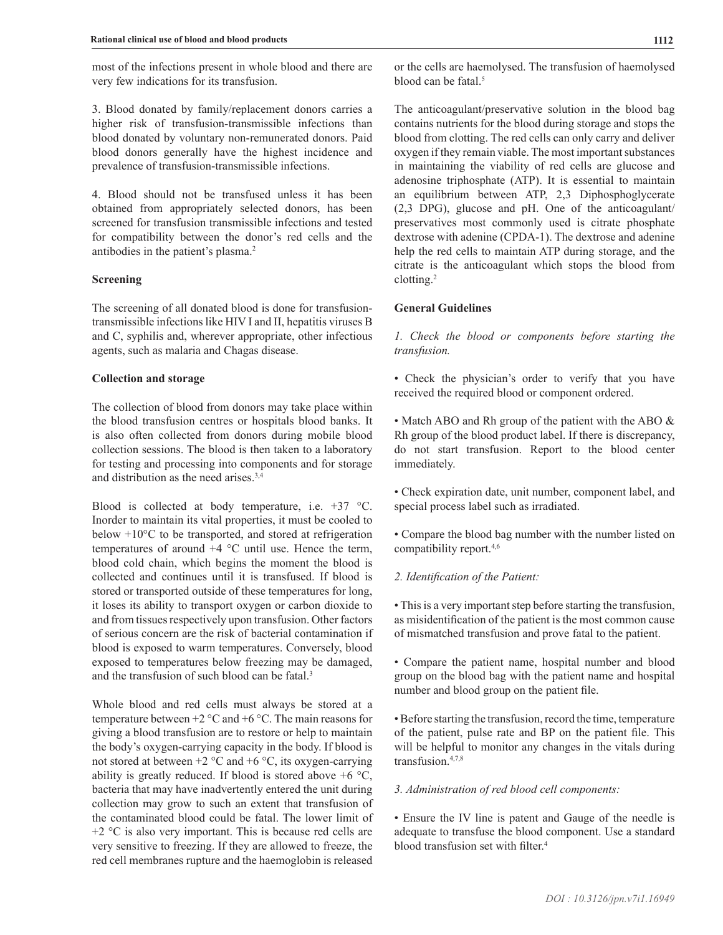most of the infections present in whole blood and there are very few indications for its transfusion.

3. Blood donated by family/replacement donors carries a higher risk of transfusion-transmissible infections than blood donated by voluntary non-remunerated donors. Paid blood donors generally have the highest incidence and prevalence of transfusion-transmissible infections.

4. Blood should not be transfused unless it has been obtained from appropriately selected donors, has been screened for transfusion transmissible infections and tested for compatibility between the donor's red cells and the antibodies in the patient's plasma.<sup>2</sup>

## **Screening**

The screening of all donated blood is done for transfusiontransmissible infections like HIV I and II, hepatitis viruses B and C, syphilis and, wherever appropriate, other infectious agents, such as malaria and Chagas disease.

## **Collection and storage**

The collection of blood from donors may take place within the blood transfusion centres or hospitals blood banks. It is also often collected from donors during mobile blood collection sessions. The blood is then taken to a laboratory for testing and processing into components and for storage and distribution as the need arises.3,4

Blood is collected at body temperature, i.e. +37 °C. Inorder to maintain its vital properties, it must be cooled to below +10°C to be transported, and stored at refrigeration temperatures of around  $+4$  °C until use. Hence the term, blood cold chain, which begins the moment the blood is collected and continues until it is transfused. If blood is stored or transported outside of these temperatures for long, it loses its ability to transport oxygen or carbon dioxide to and from tissues respectively upon transfusion. Other factors of serious concern are the risk of bacterial contamination if blood is exposed to warm temperatures. Conversely, blood exposed to temperatures below freezing may be damaged, and the transfusion of such blood can be fatal.3

Whole blood and red cells must always be stored at a temperature between  $+2$  °C and  $+6$  °C. The main reasons for giving a blood transfusion are to restore or help to maintain the body's oxygen-carrying capacity in the body. If blood is not stored at between  $+2$  °C and  $+6$  °C, its oxygen-carrying ability is greatly reduced. If blood is stored above  $+6$  °C, bacteria that may have inadvertently entered the unit during collection may grow to such an extent that transfusion of the contaminated blood could be fatal. The lower limit of  $+2$  °C is also very important. This is because red cells are very sensitive to freezing. If they are allowed to freeze, the red cell membranes rupture and the haemoglobin is released

or the cells are haemolysed. The transfusion of haemolysed blood can be fatal.<sup>5</sup>

The anticoagulant/preservative solution in the blood bag contains nutrients for the blood during storage and stops the blood from clotting. The red cells can only carry and deliver oxygen if they remain viable. The most important substances in maintaining the viability of red cells are glucose and adenosine triphosphate (ATP). It is essential to maintain an equilibrium between ATP, 2,3 Diphosphoglycerate (2,3 DPG), glucose and pH. One of the anticoagulant/ preservatives most commonly used is citrate phosphate dextrose with adenine (CPDA-1). The dextrose and adenine help the red cells to maintain ATP during storage, and the citrate is the anticoagulant which stops the blood from clotting.2

## **General Guidelines**

*1. Check the blood or components before starting the transfusion.* 

- Check the physician's order to verify that you have received the required blood or component ordered.
- Match ABO and Rh group of the patient with the ABO & Rh group of the blood product label. If there is discrepancy, do not start transfusion. Report to the blood center immediately.
- Check expiration date, unit number, component label, and special process label such as irradiated.
- Compare the blood bag number with the number listed on compatibility report.4,6

## *2. Identification of the Patient:*

• This is a very important step before starting the transfusion, as misidentification of the patient is the most common cause of mismatched transfusion and prove fatal to the patient.

• Compare the patient name, hospital number and blood group on the blood bag with the patient name and hospital number and blood group on the patient file.

• Before starting the transfusion, record the time, temperature of the patient, pulse rate and BP on the patient file. This will be helpful to monitor any changes in the vitals during transfusion.4,7,8

#### *3. Administration of red blood cell components:*

• Ensure the IV line is patent and Gauge of the needle is adequate to transfuse the blood component. Use a standard blood transfusion set with filter.<sup>4</sup>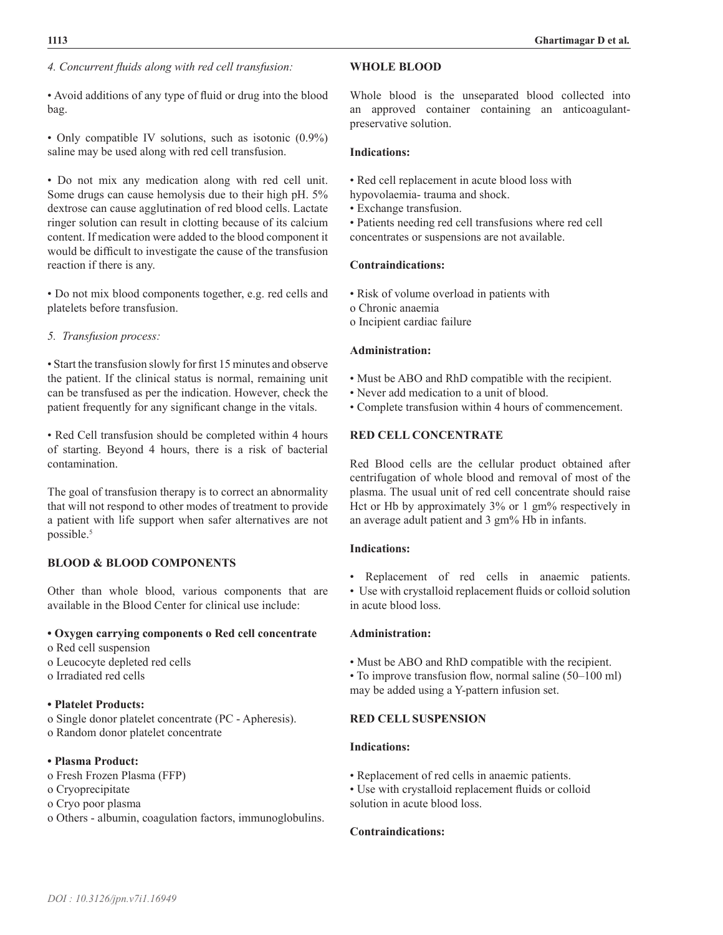*4. Concurrent fluids along with red cell transfusion:* 

• Avoid additions of any type of fluid or drug into the blood bag.

• Only compatible IV solutions, such as isotonic  $(0.9\%)$ saline may be used along with red cell transfusion.

• Do not mix any medication along with red cell unit. Some drugs can cause hemolysis due to their high pH. 5% dextrose can cause agglutination of red blood cells. Lactate ringer solution can result in clotting because of its calcium content. If medication were added to the blood component it would be difficult to investigate the cause of the transfusion reaction if there is any.

• Do not mix blood components together, e.g. red cells and platelets before transfusion.

*5. Transfusion process:*

• Start the transfusion slowly for first 15 minutes and observe the patient. If the clinical status is normal, remaining unit can be transfused as per the indication. However, check the patient frequently for any significant change in the vitals.

• Red Cell transfusion should be completed within 4 hours of starting. Beyond 4 hours, there is a risk of bacterial contamination.

The goal of transfusion therapy is to correct an abnormality that will not respond to other modes of treatment to provide a patient with life support when safer alternatives are not possible.<sup>5</sup>

## **BLOOD & BLOOD COMPONENTS**

Other than whole blood, various components that are available in the Blood Center for clinical use include:

## **• Oxygen carrying components o Red cell concentrate**

o Red cell suspension

- o Leucocyte depleted red cells
- o Irradiated red cells

## **• Platelet Products:**

o Single donor platelet concentrate (PC - Apheresis). o Random donor platelet concentrate

## **• Plasma Product:**

- o Fresh Frozen Plasma (FFP)
- o Cryoprecipitate
- o Cryo poor plasma

o Others - albumin, coagulation factors, immunoglobulins.

## **WHOLE BLOOD**

Whole blood is the unseparated blood collected into an approved container containing an anticoagulantpreservative solution.

## **Indications:**

• Red cell replacement in acute blood loss with

- hypovolaemia- trauma and shock.
- Exchange transfusion.

• Patients needing red cell transfusions where red cell concentrates or suspensions are not available.

## **Contraindications:**

- Risk of volume overload in patients with
- o Chronic anaemia
- o Incipient cardiac failure

## **Administration:**

- Must be ABO and RhD compatible with the recipient.
- Never add medication to a unit of blood.
- Complete transfusion within 4 hours of commencement.

## **RED CELL CONCENTRATE**

Red Blood cells are the cellular product obtained after centrifugation of whole blood and removal of most of the plasma. The usual unit of red cell concentrate should raise Hct or Hb by approximately 3% or 1 gm% respectively in an average adult patient and 3 gm% Hb in infants.

## **Indications:**

• Replacement of red cells in anaemic patients. • Use with crystalloid replacement fluids or colloid solution in acute blood loss.

## **Administration:**

- Must be ABO and RhD compatible with the recipient.
- To improve transfusion flow, normal saline (50–100 ml) may be added using a Y-pattern infusion set.

## **RED CELL SUSPENSION**

## **Indications:**

- Replacement of red cells in anaemic patients.
- Use with crystalloid replacement fluids or colloid solution in acute blood loss.

## **Contraindications:**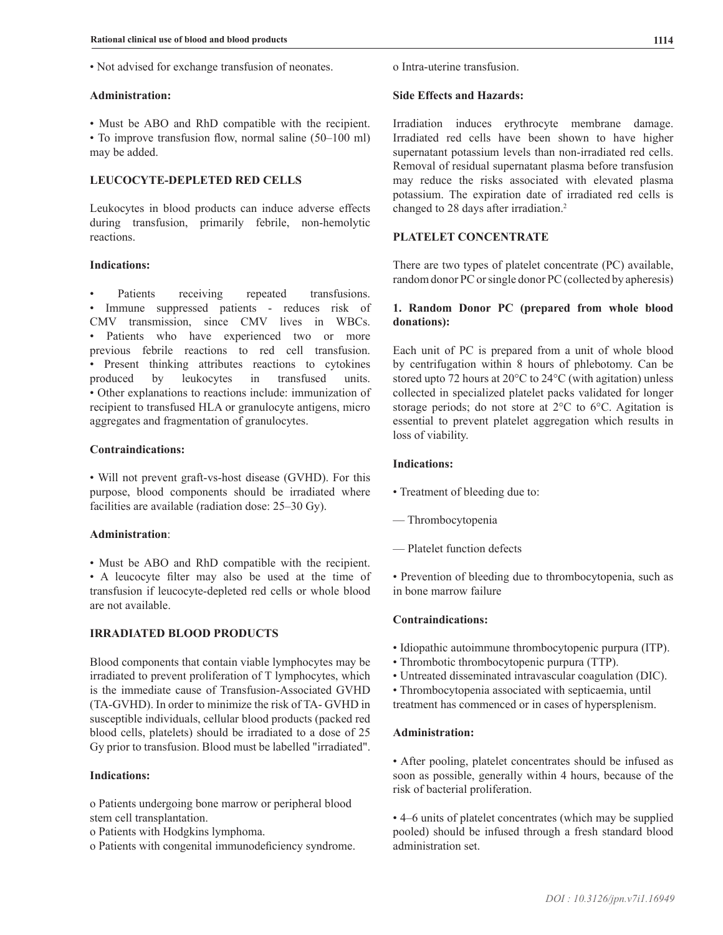• Not advised for exchange transfusion of neonates.

#### **Administration:**

• Must be ABO and RhD compatible with the recipient. • To improve transfusion flow, normal saline (50–100 ml) may be added.

#### **LEUCOCYTE-DEPLETED RED CELLS**

Leukocytes in blood products can induce adverse effects during transfusion, primarily febrile, non-hemolytic reactions.

## **Indications:**

Patients receiving repeated transfusions. • Immune suppressed patients - reduces risk of CMV transmission, since CMV lives in WBCs. • Patients who have experienced two or more previous febrile reactions to red cell transfusion. • Present thinking attributes reactions to cytokines produced by leukocytes in transfused units. • Other explanations to reactions include: immunization of recipient to transfused HLA or granulocyte antigens, micro aggregates and fragmentation of granulocytes.

## **Contraindications:**

• Will not prevent graft-vs-host disease (GVHD). For this purpose, blood components should be irradiated where facilities are available (radiation dose: 25–30 Gy).

## **Administration**:

• Must be ABO and RhD compatible with the recipient. • A leucocyte filter may also be used at the time of transfusion if leucocyte-depleted red cells or whole blood are not available.

## **IRRADIATED BLOOD PRODUCTS**

Blood components that contain viable lymphocytes may be irradiated to prevent proliferation of T lymphocytes, which is the immediate cause of Transfusion-Associated GVHD (TA-GVHD). In order to minimize the risk of TA- GVHD in susceptible individuals, cellular blood products (packed red blood cells, platelets) should be irradiated to a dose of 25 Gy prior to transfusion. Blood must be labelled "irradiated".

#### **Indications:**

o Patients undergoing bone marrow or peripheral blood stem cell transplantation.

- o Patients with Hodgkins lymphoma.
- o Patients with congenital immunodeficiency syndrome.

o Intra-uterine transfusion.

#### **Side Effects and Hazards:**

Irradiation induces erythrocyte membrane damage. Irradiated red cells have been shown to have higher supernatant potassium levels than non-irradiated red cells. Removal of residual supernatant plasma before transfusion may reduce the risks associated with elevated plasma potassium. The expiration date of irradiated red cells is changed to 28 days after irradiation.<sup>2</sup>

## **PLATELET CONCENTRATE**

There are two types of platelet concentrate (PC) available, random donor PC or single donor PC (collected by apheresis)

## **1. Random Donor PC (prepared from whole blood donations):**

Each unit of PC is prepared from a unit of whole blood by centrifugation within 8 hours of phlebotomy. Can be stored upto 72 hours at 20°C to 24°C (with agitation) unless collected in specialized platelet packs validated for longer storage periods; do not store at 2°C to 6°C. Agitation is essential to prevent platelet aggregation which results in loss of viability.

#### **Indications:**

- Treatment of bleeding due to:
- Thrombocytopenia
- Platelet function defects

• Prevention of bleeding due to thrombocytopenia, such as in bone marrow failure

## **Contraindications:**

- Idiopathic autoimmune thrombocytopenic purpura (ITP).
- Thrombotic thrombocytopenic purpura (TTP).
- Untreated disseminated intravascular coagulation (DIC).
- Thrombocytopenia associated with septicaemia, until
- treatment has commenced or in cases of hypersplenism.

## **Administration:**

• After pooling, platelet concentrates should be infused as soon as possible, generally within 4 hours, because of the risk of bacterial proliferation.

• 4–6 units of platelet concentrates (which may be supplied pooled) should be infused through a fresh standard blood administration set.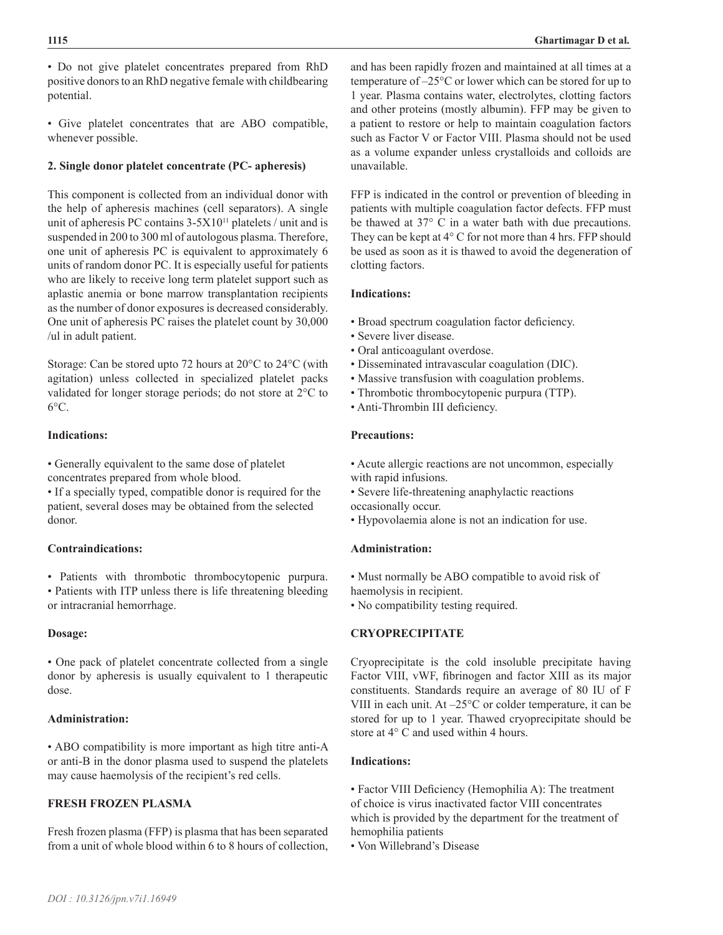• Do not give platelet concentrates prepared from RhD positive donors to an RhD negative female with childbearing potential.

• Give platelet concentrates that are ABO compatible, whenever possible.

## **2. Single donor platelet concentrate (PC- apheresis)**

This component is collected from an individual donor with the help of apheresis machines (cell separators). A single unit of apheresis PC contains  $3-5X10^{11}$  platelets / unit and is suspended in 200 to 300 ml of autologous plasma. Therefore, one unit of apheresis PC is equivalent to approximately 6 units of random donor PC. It is especially useful for patients who are likely to receive long term platelet support such as aplastic anemia or bone marrow transplantation recipients as the number of donor exposures is decreased considerably. One unit of apheresis PC raises the platelet count by 30,000 /ul in adult patient.

Storage: Can be stored upto 72 hours at 20°C to 24°C (with agitation) unless collected in specialized platelet packs validated for longer storage periods; do not store at 2°C to  $6^{\circ}$ C.

## **Indications:**

- Generally equivalent to the same dose of platelet concentrates prepared from whole blood.
- If a specially typed, compatible donor is required for the patient, several doses may be obtained from the selected donor.

## **Contraindications:**

• Patients with thrombotic thrombocytopenic purpura. • Patients with ITP unless there is life threatening bleeding or intracranial hemorrhage.

## **Dosage:**

• One pack of platelet concentrate collected from a single donor by apheresis is usually equivalent to 1 therapeutic dose.

## **Administration:**

• ABO compatibility is more important as high titre anti-A or anti-B in the donor plasma used to suspend the platelets may cause haemolysis of the recipient's red cells.

## **FRESH FROZEN PLASMA**

Fresh frozen plasma (FFP) is plasma that has been separated from a unit of whole blood within 6 to 8 hours of collection, and has been rapidly frozen and maintained at all times at a temperature of –25°C or lower which can be stored for up to 1 year. Plasma contains water, electrolytes, clotting factors and other proteins (mostly albumin). FFP may be given to a patient to restore or help to maintain coagulation factors such as Factor V or Factor VIII. Plasma should not be used as a volume expander unless crystalloids and colloids are unavailable.

FFP is indicated in the control or prevention of bleeding in patients with multiple coagulation factor defects. FFP must be thawed at 37° C in a water bath with due precautions. They can be kept at 4° C for not more than 4 hrs. FFP should be used as soon as it is thawed to avoid the degeneration of clotting factors.

## **Indications:**

- Broad spectrum coagulation factor deficiency.
- Severe liver disease.
- Oral anticoagulant overdose.
- Disseminated intravascular coagulation (DIC).
- Massive transfusion with coagulation problems.
- Thrombotic thrombocytopenic purpura (TTP).
- Anti-Thrombin III deficiency.

## **Precautions:**

- Acute allergic reactions are not uncommon, especially with rapid infusions.
- Severe life-threatening anaphylactic reactions occasionally occur.
- Hypovolaemia alone is not an indication for use.

## **Administration:**

• Must normally be ABO compatible to avoid risk of haemolysis in recipient.

• No compatibility testing required.

## **CRYOPRECIPITATE**

Cryoprecipitate is the cold insoluble precipitate having Factor VIII, vWF, fibrinogen and factor XIII as its major constituents. Standards require an average of 80 IU of F VIII in each unit. At –25°C or colder temperature, it can be stored for up to 1 year. Thawed cryoprecipitate should be store at 4° C and used within 4 hours.

## **Indications:**

• Factor VIII Deficiency (Hemophilia A): The treatment of choice is virus inactivated factor VIII concentrates which is provided by the department for the treatment of hemophilia patients

• Von Willebrand's Disease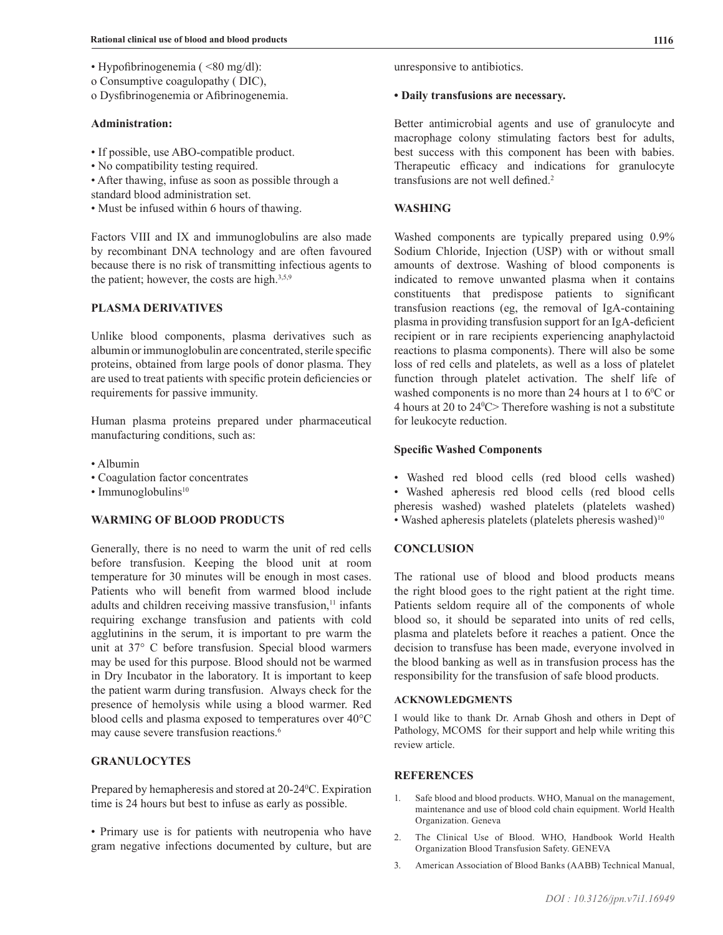- Hypofibrinogenemia  $( \le 80 \text{ mg/dl})$ :
- o Consumptive coagulopathy ( DIC),
- o Dysfibrinogenemia or Afibrinogenemia.

#### **Administration:**

- If possible, use ABO-compatible product.
- No compatibility testing required.
- After thawing, infuse as soon as possible through a standard blood administration set.
- Must be infused within 6 hours of thawing.

Factors VIII and IX and immunoglobulins are also made by recombinant DNA technology and are often favoured because there is no risk of transmitting infectious agents to the patient; however, the costs are high.<sup>3,5,9</sup>

#### **PLASMA DERIVATIVES**

Unlike blood components, plasma derivatives such as albumin or immunoglobulin are concentrated, sterile specific proteins, obtained from large pools of donor plasma. They are used to treat patients with specific protein deficiencies or requirements for passive immunity.

Human plasma proteins prepared under pharmaceutical manufacturing conditions, such as:

- Albumin
- Coagulation factor concentrates
- Immunoglobulins $10$

## **WARMING OF BLOOD PRODUCTS**

Generally, there is no need to warm the unit of red cells before transfusion. Keeping the blood unit at room temperature for 30 minutes will be enough in most cases. Patients who will benefit from warmed blood include adults and children receiving massive transfusion, $\frac{11}{11}$  infants requiring exchange transfusion and patients with cold agglutinins in the serum, it is important to pre warm the unit at 37° C before transfusion. Special blood warmers may be used for this purpose. Blood should not be warmed in Dry Incubator in the laboratory. It is important to keep the patient warm during transfusion. Always check for the presence of hemolysis while using a blood warmer. Red blood cells and plasma exposed to temperatures over 40°C may cause severe transfusion reactions.<sup>6</sup>

## **GRANULOCYTES**

Prepared by hemapheresis and stored at 20-24<sup>o</sup>C. Expiration time is 24 hours but best to infuse as early as possible.

• Primary use is for patients with neutropenia who have gram negative infections documented by culture, but are

unresponsive to antibiotics.

#### **• Daily transfusions are necessary.**

Better antimicrobial agents and use of granulocyte and macrophage colony stimulating factors best for adults, best success with this component has been with babies. Therapeutic efficacy and indications for granulocyte transfusions are not well defined.<sup>2</sup>

#### **WASHING**

Washed components are typically prepared using 0.9% Sodium Chloride, Injection (USP) with or without small amounts of dextrose. Washing of blood components is indicated to remove unwanted plasma when it contains constituents that predispose patients to significant transfusion reactions (eg, the removal of IgA-containing plasma in providing transfusion support for an IgA-deficient recipient or in rare recipients experiencing anaphylactoid reactions to plasma components). There will also be some loss of red cells and platelets, as well as a loss of platelet function through platelet activation. The shelf life of washed components is no more than 24 hours at 1 to  $6^{\circ}$ C or 4 hours at 20 to  $24^{\circ}$ C Therefore washing is not a substitute for leukocyte reduction.

#### **Specific Washed Components**

• Washed red blood cells (red blood cells washed) • Washed apheresis red blood cells (red blood cells pheresis washed) washed platelets (platelets washed) • Washed apheresis platelets (platelets pheresis washed)<sup>10</sup>

#### **CONCLUSION**

The rational use of blood and blood products means the right blood goes to the right patient at the right time. Patients seldom require all of the components of whole blood so, it should be separated into units of red cells, plasma and platelets before it reaches a patient. Once the decision to transfuse has been made, everyone involved in the blood banking as well as in transfusion process has the responsibility for the transfusion of safe blood products.

#### **ACKNOWLEDGMENTS**

I would like to thank Dr. Arnab Ghosh and others in Dept of Pathology, MCOMS for their support and help while writing this review article.

#### **REFERENCES**

- 1. Safe blood and blood products. WHO, Manual on the management, maintenance and use of blood cold chain equipment. World Health Organization. Geneva
- 2. The Clinical Use of Blood. WHO, Handbook World Health Organization Blood Transfusion Safety. GENEVA
- 3. American Association of Blood Banks (AABB) Technical Manual,